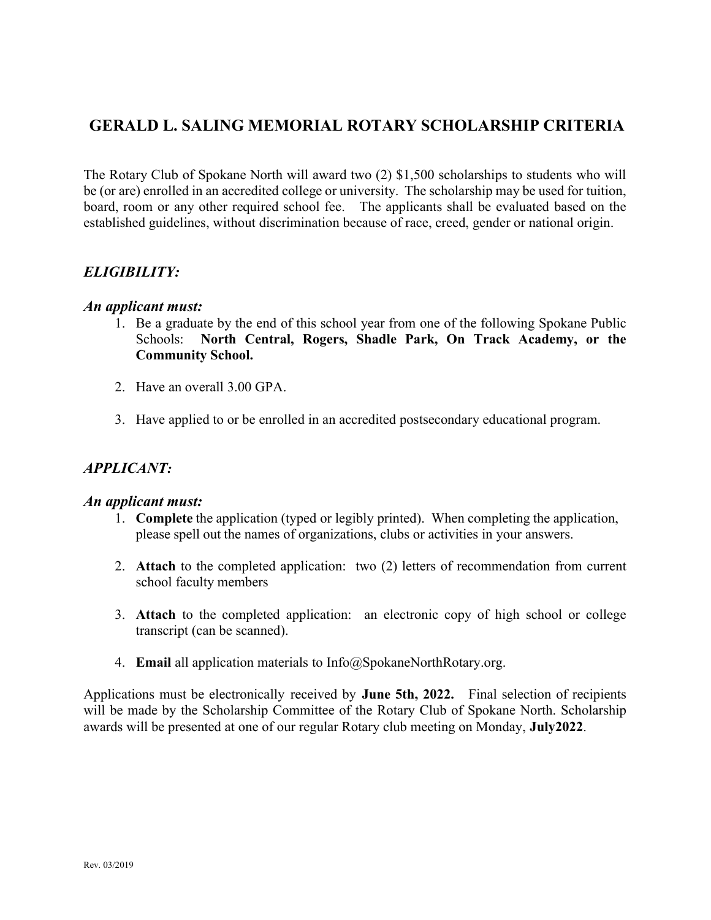## GERALD L. SALING MEMORIAL ROTARY SCHOLARSHIP CRITERIA

The Rotary Club of Spokane North will award two (2) \$1,500 scholarships to students who will be (or are) enrolled in an accredited college or university. The scholarship may be used for tuition, board, room or any other required school fee. The applicants shall be evaluated based on the established guidelines, without discrimination because of race, creed, gender or national origin.

## ELIGIBILITY:

#### An applicant must:

- 1. Be a graduate by the end of this school year from one of the following Spokane Public Schools: North Central, Rogers, Shadle Park, On Track Academy, or the Community School.
- 2. Have an overall 3.00 GPA.
- 3. Have applied to or be enrolled in an accredited postsecondary educational program.

## APPLICANT:

#### An applicant must:

- 1. Complete the application (typed or legibly printed). When completing the application, please spell out the names of organizations, clubs or activities in your answers.
- 2. Attach to the completed application: two (2) letters of recommendation from current school faculty members
- 3. Attach to the completed application: an electronic copy of high school or college transcript (can be scanned).
- 4. Email all application materials to Info@SpokaneNorthRotary.org.

Applications must be electronically received by **June 5**th, 20**22**. Final selection of recipients will be made by the Scholarship Committee of the Rotary Club of Spokane North. Scholarship awards will be presented at one of our regular Rotary club meeting on Monday, Ju**ly**20**22**.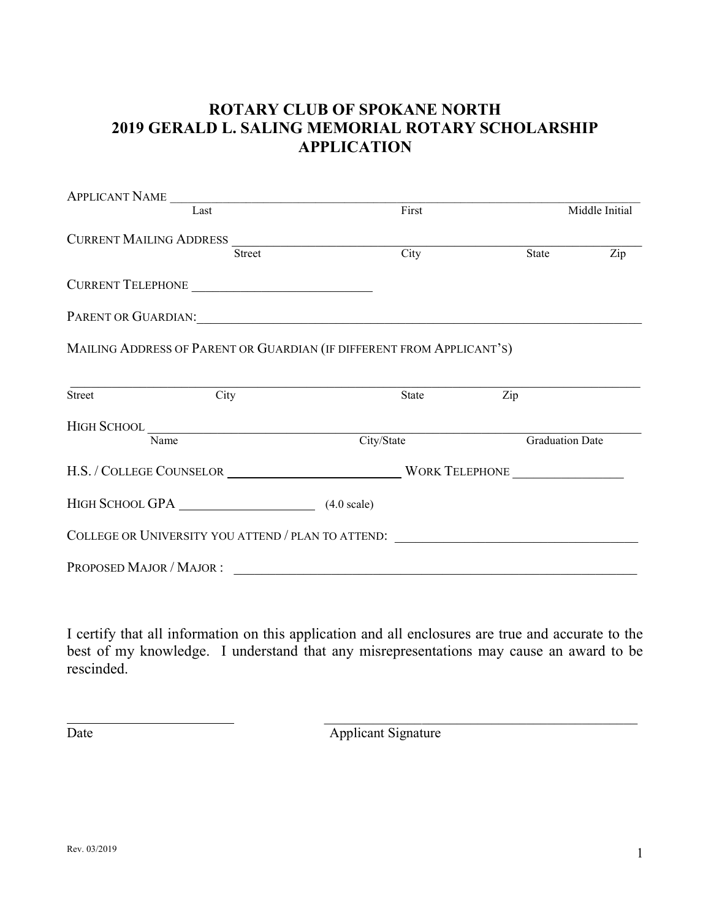# ROTARY CLUB OF SPOKANE NORTH 2019 GERALD L. SALING MEMORIAL ROTARY SCHOLARSHIP APPLICATION

|                                | APPLICANT NAME                                                                                                                                                                                                                |            |       |              |                        |
|--------------------------------|-------------------------------------------------------------------------------------------------------------------------------------------------------------------------------------------------------------------------------|------------|-------|--------------|------------------------|
|                                | Last                                                                                                                                                                                                                          |            | First |              | Middle Initial         |
| <b>CURRENT MAILING ADDRESS</b> |                                                                                                                                                                                                                               |            |       |              |                        |
|                                | <b>Street</b>                                                                                                                                                                                                                 |            | City  | <b>State</b> | Zip                    |
|                                | CURRENT TELEPHONE                                                                                                                                                                                                             |            |       |              |                        |
|                                | PARENT OR GUARDIAN: University of the CONTROL CONTROL CONTROL CONTROL CONTROL CONTROL CONTROL CONTROL CONTROL CONTROL CONTROL CONTROL CONTROL CONTROL CONTROL CONTROL CONTROL CONTROL CONTROL CONTROL CONTROL CONTROL CONTROL |            |       |              |                        |
|                                | MAILING ADDRESS OF PARENT OR GUARDIAN (IF DIFFERENT FROM APPLICANT'S)                                                                                                                                                         |            |       |              |                        |
| Street                         | City                                                                                                                                                                                                                          |            | State | Zip          |                        |
|                                |                                                                                                                                                                                                                               |            |       |              |                        |
|                                | Name                                                                                                                                                                                                                          | City/State |       |              | <b>Graduation Date</b> |
|                                |                                                                                                                                                                                                                               |            |       |              |                        |
|                                | HIGH SCHOOL GPA (4.0 scale)                                                                                                                                                                                                   |            |       |              |                        |
|                                | COLLEGE OR UNIVERSITY YOU ATTEND / PLAN TO ATTEND:                                                                                                                                                                            |            |       |              |                        |
| PROPOSED MAJOR / MAJOR:        |                                                                                                                                                                                                                               |            |       |              |                        |

I certify that all information on this application and all enclosures are true and accurate to the best of my knowledge. I understand that any misrepresentations may cause an award to be rescinded.

\_\_\_\_\_\_\_\_\_\_\_\_\_\_\_\_\_\_\_\_\_\_\_\_\_\_\_\_\_\_\_\_\_\_\_\_\_\_\_\_\_\_\_\_\_

Date Applicant Signature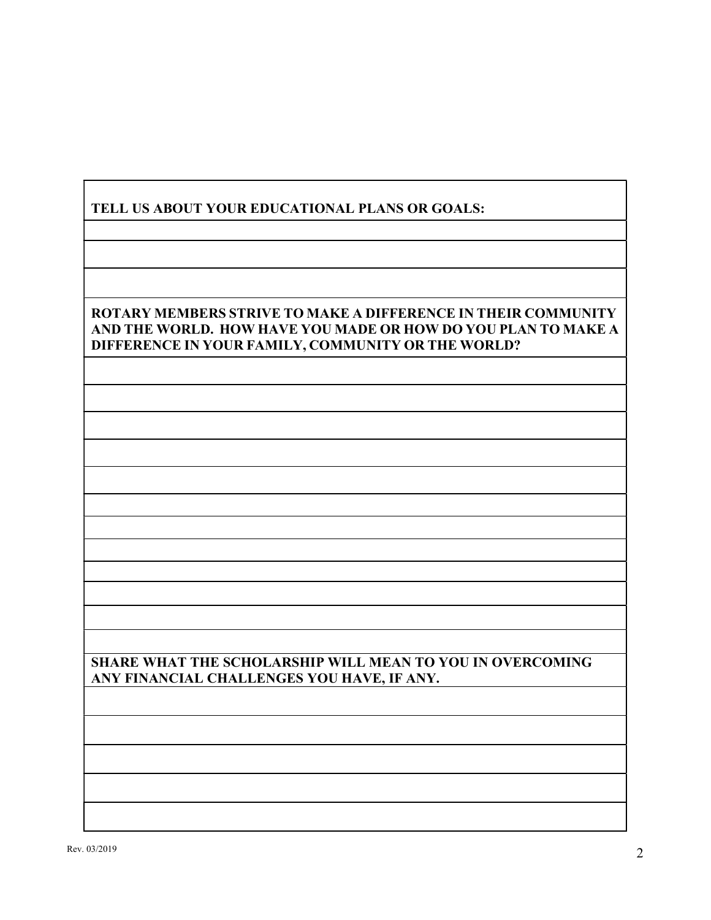## TELL US ABOUT YOUR EDUCATIONAL PLANS OR GOALS:

#### ROTARY MEMBERS STRIVE TO MAKE A DIFFERENCE IN THEIR COMMUNITY AND THE WORLD. HOW HAVE YOU MADE OR HOW DO YOU PLAN TO MAKE A DIFFERENCE IN YOUR FAMILY, COMMUNITY OR THE WORLD? I

## SHARE WHAT THE SCHOLARSHIP WILL MEAN TO YOU IN OVERCOMING ANY FINANCIAL CHALLENGES YOU HAVE, IF ANY.